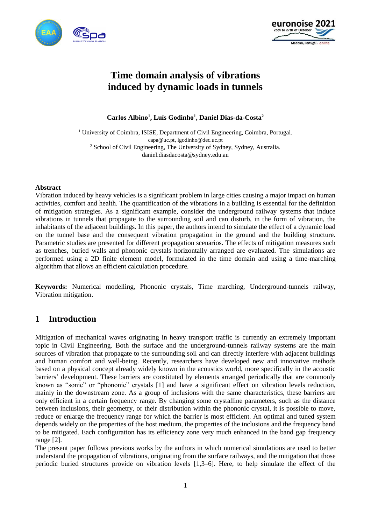



# **Time domain analysis of vibrations induced by dynamic loads in tunnels**

**Carlos Albino<sup>1</sup> , Luís Godinho<sup>1</sup> , Daniel Dias-da-Costa<sup>2</sup>**

<sup>1</sup> University of Coimbra, ISISE, Department of Civil Engineering, Coimbra, Portugal. capa@uc.pt, lgodinho@dec.uc.pt <sup>2</sup> School of Civil Engineering, The University of Sydney, Sydney, Australia. daniel.diasdacosta@sydney.edu.au

#### **Abstract**

Vibration induced by heavy vehicles is a significant problem in large cities causing a major impact on human activities, comfort and health. The quantification of the vibrations in a building is essential for the definition of mitigation strategies. As a significant example, consider the underground railway systems that induce vibrations in tunnels that propagate to the surrounding soil and can disturb, in the form of vibration, the inhabitants of the adjacent buildings. In this paper, the authors intend to simulate the effect of a dynamic load on the tunnel base and the consequent vibration propagation in the ground and the building structure. Parametric studies are presented for different propagation scenarios. The effects of mitigation measures such as trenches, buried walls and phononic crystals horizontally arranged are evaluated. The simulations are performed using a 2D finite element model, formulated in the time domain and using a time-marching algorithm that allows an efficient calculation procedure.

**Keywords:** Numerical modelling, Phononic crystals, Time marching, Underground-tunnels railway, Vibration mitigation.

## **1 Introduction**

Mitigation of mechanical waves originating in heavy transport traffic is currently an extremely important topic in Civil Engineering. Both the surface and the underground-tunnels railway systems are the main sources of vibration that propagate to the surrounding soil and can directly interfere with adjacent buildings and human comfort and well-being. Recently, researchers have developed new and innovative methods based on a physical concept already widely known in the acoustics world, more specifically in the acoustic barriers' development. These barriers are constituted by elements arranged periodically that are commonly known as "sonic" or "phononic" crystals [1] and have a significant effect on vibration levels reduction, mainly in the downstream zone. As a group of inclusions with the same characteristics, these barriers are only efficient in a certain frequency range. By changing some crystalline parameters, such as the distance between inclusions, their geometry, or their distribution within the phononic crystal, it is possible to move, reduce or enlarge the frequency range for which the barrier is most efficient. An optimal and tuned system depends widely on the properties of the host medium, the properties of the inclusions and the frequency band to be mitigated. Each configuration has its efficiency zone very much enhanced in the band gap frequency range [2].

The present paper follows previous works by the authors in which numerical simulations are used to better understand the propagation of vibrations, originating from the surface railways, and the mitigation that those periodic buried structures provide on vibration levels [1,3–6]. Here, to help simulate the effect of the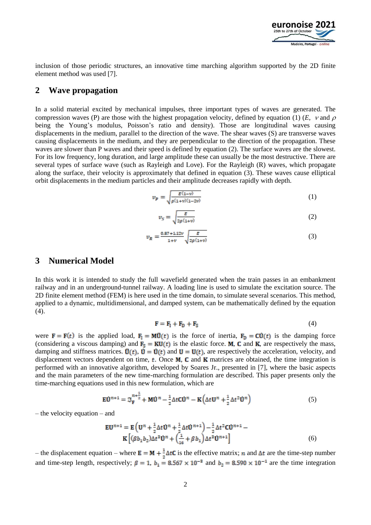

inclusion of those periodic structures, an innovative time marching algorithm supported by the 2D finite element method was used [7].

#### **2 Wave propagation**

In a solid material excited by mechanical impulses, three important types of waves are generated. The compression waves (P) are those with the highest propagation velocity, defined by equation (1) (*E*,  $\nu$  and  $\rho$ being the Young's modulus, Poisson's ratio and density). Those are longitudinal waves causing displacements in the medium, parallel to the direction of the wave. The shear waves (S) are transverse waves causing displacements in the medium, and they are perpendicular to the direction of the propagation. These waves are slower than P waves and their speed is defined by equation (2). The surface waves are the slowest. For its low frequency, long duration, and large amplitude these can usually be the most destructive. There are several types of surface wave (such as Rayleigh and Love). For the Rayleigh (R) waves, which propagate along the surface, their velocity is approximately that defined in equation (3). These waves cause elliptical orbit displacements in the medium particles and their amplitude decreases rapidly with depth.

$$
v_p = \sqrt{\frac{E(1-v)}{\rho(1+v)(1-2v)}}\tag{1}
$$

$$
v_S = \sqrt{\frac{\varepsilon}{2\rho(1+\nu)}}\tag{2}
$$

$$
v_R = \frac{0.87 + 1.12\nu}{1 + \nu} \sqrt{\frac{E}{2\rho (1 + \nu)}}\tag{3}
$$

#### **3 Numerical Model**

In this work it is intended to study the full wavefield generated when the train passes in an embankment railway and in an underground-tunnel railway. A loading line is used to simulate the excitation source. The 2D finite element method (FEM) is here used in the time domain, to simulate several scenarios. This method, applied to a dynamic, multidimensional, and damped system, can be mathematically defined by the equation  $(4).$ 

$$
\mathbf{F} = \mathbf{F}_{\rm I} + \mathbf{F}_{\rm D} + \mathbf{F}_{\rm S} \tag{4}
$$

were  $\mathbf{F} = \mathbf{F}(t)$  is the applied load,  $\mathbf{F}_I = \mathbf{M}\mathbf{U}(t)$  is the force of inertia,  $\mathbf{F}_D = \mathbf{C}\mathbf{U}(t)$  is the damping force (considering a viscous damping) and  $\mathbf{F}_s = \mathbf{K} \mathbf{U}(t)$  is the elastic force. **M**, **C** and **K**, are respectively the mass, damping and stiffness matrices.  $\mathbf{U}(t)$ ,  $\mathbf{U} = \mathbf{U}(t)$  and  $\mathbf{U} = \mathbf{U}(t)$ , are respectively the acceleration, velocity, and displacement vectors dependent on time,  $t$ . Once **M**, **C** and **K** matrices are obtained, the time integration is performed with an innovative algorithm, developed by Soares Jr., presented in [7], where the basic aspects and the main parameters of the new time-marching formulation are described. This paper presents only the time-marching equations used in this new formulation, which are

$$
\mathbf{E}\ddot{\mathbf{U}}^{n+1} = \mathfrak{I}_{\mathbf{F}}^{n+\frac{1}{2}} + \mathbf{M}\ddot{\mathbf{U}}^n - \frac{1}{2}\Delta t \mathbf{C}\dot{\mathbf{U}}^n - \mathbf{K}\left(\Delta t \mathbf{U}^n + \frac{1}{2}\Delta t^2 \ddot{\mathbf{U}}^n\right)
$$
(5)

– the velocity equation – and

$$
\mathbf{EU}^{n+1} = \mathbf{E} \left( \mathbf{U}^n + \frac{1}{2} \Delta t \mathbf{U}^n + \frac{1}{2} \Delta t \mathbf{U}^{n+1} \right) - \frac{1}{2} \Delta t^2 \mathbf{CU}^{n+1} - \mathbf{K} \left[ (\beta b_1 b_2) \Delta t^2 \mathbf{U}^n + \left( \frac{1}{16} + \beta b_1 \right) \Delta t^2 \mathbf{U}^{n+1} \right] \tag{6}
$$

– the displacement equation – where  $\mathbf{E} = \mathbf{M} + \frac{1}{2}\Delta t \mathbf{C}$  is the effective matrix; *n* and  $\Delta t$  are the time-step number and time-step length, respectively;  $\beta = 1$ ,  $b_1 = 8.567 \times 10^{-3}$  and  $b_2 = 8.590 \times 10^{-1}$  are the time integration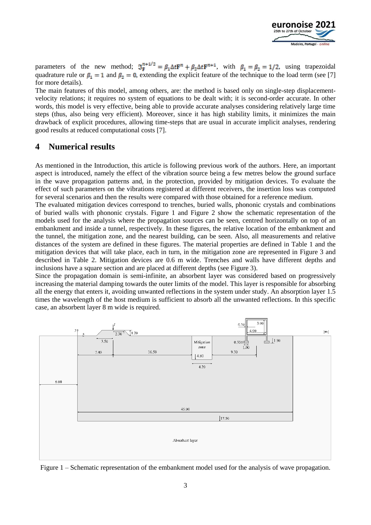

parameters of the new method;  $\mathfrak{I}_{\mathbf{F}}^{n+1/2} = \beta_1 \Delta t \mathbf{F}^n + \beta_2 \Delta t \mathbf{F}^{n+1}$ , with  $\beta_1 = \beta_2 = 1/2$ , using trapezoidal quadrature rule or  $\beta_1 = 1$  and  $\beta_2 = 0$ , extending the explicit feature of the technique to the load term (see [7] for more details).

The main features of this model, among others, are: the method is based only on single-step displacementvelocity relations; it requires no system of equations to be dealt with; it is second-order accurate. In other words, this model is very effective, being able to provide accurate analyses considering relatively large time steps (thus, also being very efficient). Moreover, since it has high stability limits, it minimizes the main drawback of explicit procedures, allowing time-steps that are usual in accurate implicit analyses, rendering good results at reduced computational costs [7].

### **4 Numerical results**

As mentioned in the Introduction, this article is following previous work of the authors. Here, an important aspect is introduced, namely the effect of the vibration source being a few metres below the ground surface in the wave propagation patterns and, in the protection, provided by mitigation devices. To evaluate the effect of such parameters on the vibrations registered at different receivers, the insertion loss was computed for several scenarios and then the results were compared with those obtained for a reference medium.

The evaluated mitigation devices correspond to trenches, buried walls, phononic crystals and combinations of buried walls with phononic crystals. [Figure 1](#page-2-0) and [Figure 2](#page-3-0) show the schematic representation of the models used for the analysis where the propagation sources can be seen, centred horizontally on top of an embankment and inside a tunnel, respectively. In these figures, the relative location of the embankment and the tunnel, the mitigation zone, and the nearest building, can be seen. Also, all measurements and relative distances of the system are defined in these figures. The material properties are defined in [Table 1](#page-3-1) and the mitigation devices that will take place, each in turn, in the mitigation zone are represented in [Figure 3](#page-3-2) and described in [Table 2.](#page-4-0) Mitigation devices are 0.6 m wide. Trenches and walls have different depths and inclusions have a square section and are placed at different depths (see [Figure 3\)](#page-3-2).

Since the propagation domain is semi-infinite, an absorbent layer was considered based on progressively increasing the material damping towards the outer limits of the model. This layer is responsible for absorbing all the energy that enters it, avoiding unwanted reflections in the system under study. An absorption layer 1.5 times the wavelength of the host medium is sufficient to absorb all the unwanted reflections. In this specific case, an absorbent layer 8 m wide is required.



<span id="page-2-0"></span>Figure 1 – Schematic representation of the embankment model used for the analysis of wave propagation.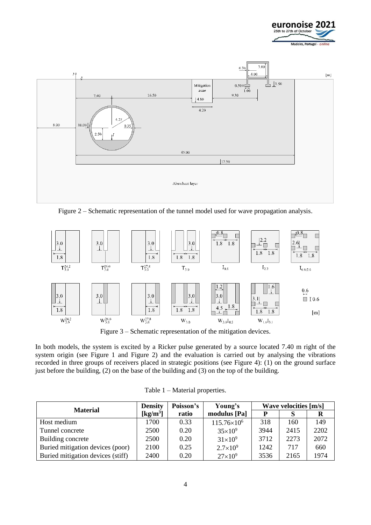



<span id="page-3-0"></span>Figure 2 – Schematic representation of the tunnel model used for wave propagation analysis.



Figure 3 – Schematic representation of the mitigation devices.

<span id="page-3-2"></span>In both models, the system is excited by a Ricker pulse generated by a source located 7.40 m right of the system origin (see [Figure 1](#page-2-0) and [Figure 2\)](#page-3-0) and the evaluation is carried out by analysing the vibrations recorded in three groups of receivers placed in strategic positions (see [Figure 4\)](#page-4-1): (1) on the ground surface just before the building, (2) on the base of the building and (3) on the top of the building.

<span id="page-3-1"></span>

|                                   | <b>Density</b>       | Poisson's | Young's              | <b>Wave velocities [m/s]</b> |      |      |
|-----------------------------------|----------------------|-----------|----------------------|------------------------------|------|------|
| <b>Material</b>                   | [kg/m <sup>3</sup> ] | ratio     | modulus [Pa]         | P                            |      |      |
| Host medium                       | 1700                 | 0.33      | $115.76\times10^{6}$ | 318                          | 160  | 149  |
| Tunnel concrete                   | 2500                 | 0.20      | $35\times10^9$       | 3944                         | 2415 | 2202 |
| Building concrete                 | 2500                 | 0.20      | $31\times10^9$       | 3712                         | 2273 | 2072 |
| Buried mitigation devices (poor)  | 2100                 | 0.25      | $2.7 \times 10^{9}$  | 1242                         | 717  | 660  |
| Buried mitigation devices (stiff) | 2400                 | 0.20      | $27\times10^9$       | 3536                         | 2165 | 1974 |

Table 1 – Material properties.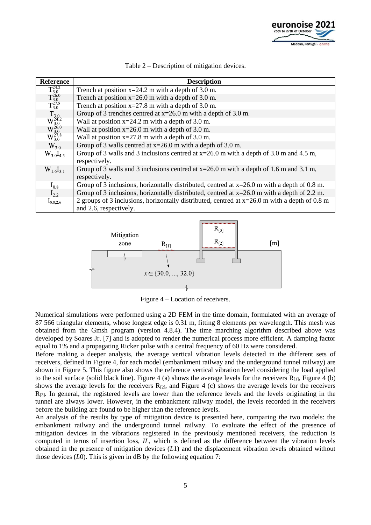

<span id="page-4-0"></span>

| Reference                                                                                                                                 | <b>Description</b>                                                                              |
|-------------------------------------------------------------------------------------------------------------------------------------------|-------------------------------------------------------------------------------------------------|
| $\frac{\mathrm{T}_{3.0}^{24.2}}{\mathrm{T}_{3.0}^{26.0}} \ \mathrm{T}_{3.0}^{27.8}}$                                                      | Trench at position $x=24.2$ m with a depth of 3.0 m.                                            |
|                                                                                                                                           | Trench at position $x=26.0$ m with a depth of 3.0 m.                                            |
|                                                                                                                                           | Trench at position $x=27.8$ m with a depth of 3.0 m.                                            |
| $\overset{\text{T}_3}{W} \overset{124.2}{W} \overset{\text{3.0}}{W} \overset{26.0}{W} \overset{\text{3.0}}{W} \overset{\text{27.8}}{3.0}$ | Group of 3 trenches centred at $x=26.0$ m with a depth of 3.0 m.                                |
|                                                                                                                                           | Wall at position $x=24.2$ m with a depth of 3.0 m.                                              |
|                                                                                                                                           | Wall at position $x=26.0$ m with a depth of 3.0 m.                                              |
|                                                                                                                                           | Wall at position $x=27.8$ m with a depth of 3.0 m.                                              |
| $W_{3,0}$                                                                                                                                 | Group of 3 walls centred at $x=26.0$ m with a depth of 3.0 m.                                   |
| $W_{3.0}I_{4.5}$                                                                                                                          | Group of 3 walls and 3 inclusions centred at $x=26.0$ m with a depth of 3.0 m and 4.5 m,        |
|                                                                                                                                           | respectively.                                                                                   |
| $W_{1,6}I_{3,1}$                                                                                                                          | Group of 3 walls and 3 inclusions centred at $x=26.0$ m with a depth of 1.6 m and 3.1 m,        |
|                                                                                                                                           | respectively.                                                                                   |
| $I_{0.8}$                                                                                                                                 | Group of 3 inclusions, horizontally distributed, centred at $x=26.0$ m with a depth of 0.8 m.   |
| $I_{2,2}$                                                                                                                                 | Group of 3 inclusions, horizontally distributed, centred at $x=26.0$ m with a depth of 2.2 m.   |
| $I_{0.8;2.6}$                                                                                                                             | 2 groups of 3 inclusions, horizontally distributed, centred at $x=26.0$ m with a depth of 0.8 m |
|                                                                                                                                           | and 2.6, respectively.                                                                          |

Table 2 – Description of mitigation devices.



Figure 4 – Location of receivers.

<span id="page-4-1"></span>Numerical simulations were performed using a 2D FEM in the time domain, formulated with an average of 87 566 triangular elements, whose longest edge is 0.31 m, fitting 8 elements per wavelength. This mesh was obtained from the Gmsh program (version 4.8.4). The time marching algorithm described above was developed by Soares Jr. [7] and is adopted to render the numerical process more efficient. A damping factor equal to 1% and a propagating Ricker pulse with a central frequency of 60 Hz were considered.

Before making a deeper analysis, the average vertical vibration levels detected in the different sets of receivers, defined in [Figure 4,](#page-4-1) for each model (embankment railway and the underground tunnel railway) are shown in [Figure 5.](#page-5-0) This figure also shows the reference vertical vibration level considering the load applied to the soil surface (solid black line). [Figure 4](#page-4-1) (a) shows the average levels for the receivers  $R_{[1]}$ , Figure 4 (b) shows the average levels for the receivers  $R_{[2]}$ , and Figure 4 (c) shows the average levels for the receivers R[3]. In general, the registered levels are lower than the reference levels and the levels originating in the tunnel are always lower. However, in the embankment railway model, the levels recorded in the receivers before the building are found to be higher than the reference levels.

An analysis of the results by type of mitigation device is presented here, comparing the two models: the embankment railway and the underground tunnel railway. To evaluate the effect of the presence of mitigation devices in the vibrations registered in the previously mentioned receivers, the reduction is computed in terms of insertion loss, *IL*, which is defined as the difference between the vibration levels obtained in the presence of mitigation devices (*L*1) and the displacement vibration levels obtained without those devices (*L*0). This is given in dB by the following equation 7: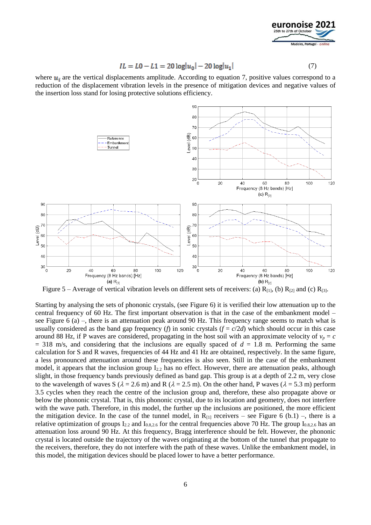

$$
IL = L0 - L1 = 20 \log|u_0| - 20 \log|u_1| \tag{7}
$$

where  $u_i$  are the vertical displacements amplitude. According to equation 7, positive values correspond to a reduction of the displacement vibration levels in the presence of mitigation devices and negative values of the insertion loss stand for losing protective solutions efficiency.



<span id="page-5-0"></span>Figure 5 – Average of vertical vibration levels on different sets of receivers: (a)  $R_{[1]}$ , (b)  $R_{[2]}$  and (c)  $R_{[3]}$ .

Starting by analysing the sets of phononic crystals, (see [Figure 6\)](#page-6-0) it is verified their low attenuation up to the central frequency of 60 Hz. The first important observation is that in the case of the embankment model – see [Figure 6](#page-6-0) (a) –, there is an attenuation peak around 90 Hz. This frequency range seems to match what is usually considered as the band gap frequency (*f*) in sonic crystals  $(f = c/2d)$  which should occur in this case around 88 Hz, if P waves are considered, propagating in the host soil with an approximate velocity of  $v_p = c$  $=$  318 m/s, and considering that the inclusions are equally spaced of  $d = 1.8$  m. Performing the same calculation for S and R waves, frequencies of 44 Hz and 41 Hz are obtained, respectively. In the same figure, a less pronounced attenuation around these frequencies is also seen. Still in the case of the embankment model, it appears that the inclusion group  $I_{2,2}$  has no effect. However, there are attenuation peaks, although slight, in those frequency bands previously defined as band gap. This group is at a depth of 2.2 m, very close to the wavelength of waves S ( $\lambda = 2.6$  m) and R ( $\lambda = 2.5$  m). On the other hand, P waves ( $\lambda = 5.3$  m) perform 3.5 cycles when they reach the centre of the inclusion group and, therefore, these also propagate above or below the phononic crystal. That is, this phononic crystal, due to its location and geometry, does not interfere with the wave path. Therefore, in this model, the further up the inclusions are positioned, the more efficient the mitigation device. In the case of the tunnel model, in  $R_{[1]}$  receivers – see [Figure 6](#page-6-0) (b.1) –, there is a relative optimization of groups  $I_{2,2}$  and  $I_{0.8,2.6}$  for the central frequencies above 70 Hz. The group  $I_{0.8,2.6}$  has an attenuation loss around 90 Hz. At this frequency, Bragg interference should be felt. However, the phononic crystal is located outside the trajectory of the waves originating at the bottom of the tunnel that propagate to the receivers, therefore, they do not interfere with the path of these waves. Unlike the embankment model, in this model, the mitigation devices should be placed lower to have a better performance.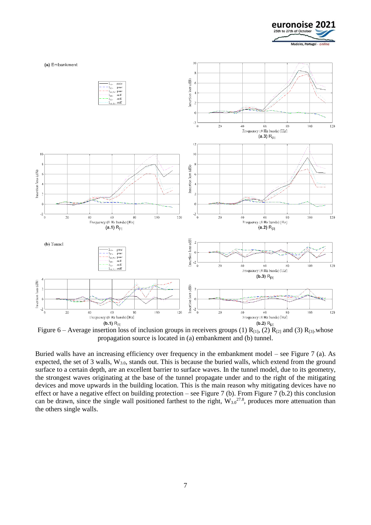



<span id="page-6-0"></span>Figure 6 – Average insertion loss of inclusion groups in receivers groups (1)  $R_{[1]}$ , (2)  $R_{[2]}$  and (3)  $R_{[3]}$ .whose propagation source is located in (a) embankment and (b) tunnel.

Buried walls have an increasing efficiency over frequency in the embankment model – see [Figure 7](#page-7-0) (a). As expected, the set of 3 walls, W3.0, stands out. This is because the buried walls, which extend from the ground surface to a certain depth, are an excellent barrier to surface waves. In the tunnel model, due to its geometry, the strongest waves originating at the base of the tunnel propagate under and to the right of the mitigating devices and move upwards in the building location. This is the main reason why mitigating devices have no effect or have a negative effect on building protection – see [Figure 7](#page-7-0) (b). From [Figure 7](#page-7-0) (b.2) this conclusion can be drawn, since the single wall positioned farthest to the right,  $W_{3.0}^{27.8}$ , produces more attenuation than the others single walls.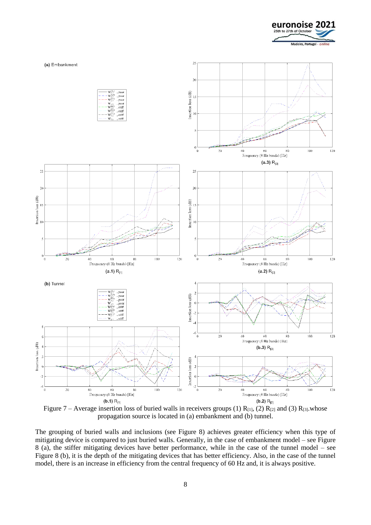



<span id="page-7-0"></span>Figure 7 – Average insertion loss of buried walls in receivers groups (1)  $R_{11}$ , (2)  $R_{12}$  and (3)  $R_{13}$ .whose propagation source is located in (a) embankment and (b) tunnel.

The grouping of buried walls and inclusions (see [Figure 8\)](#page-8-0) achieves greater efficiency when this type of mitigating device is compared to just buried walls. Generally, in the case of embankment model – see [Figure](#page-8-0)  [8](#page-8-0) (a), the stiffer mitigating devices have better performance, while in the case of the tunnel model – see [Figure 8](#page-8-0) (b), it is the depth of the mitigating devices that has better efficiency. Also, in the case of the tunnel model, there is an increase in efficiency from the central frequency of 60 Hz and, it is always positive.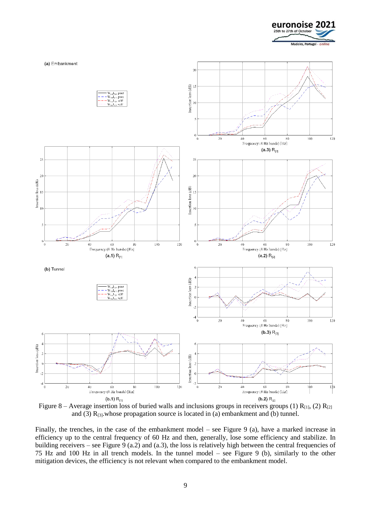



<span id="page-8-0"></span>Figure 8 – Average insertion loss of buried walls and inclusions groups in receivers groups (1)  $R_{[1]}$ , (2)  $R_{[2]}$ and (3)  $R_{[3]}$ , whose propagation source is located in (a) embankment and (b) tunnel.

Finally, the trenches, in the case of the embankment model – see Figure 9 (a), have a marked increase in efficiency up to the central frequency of 60 Hz and then, generally, lose some efficiency and stabilize. In building receivers – see Figure 9 (a.2) and (a.3), the loss is relatively high between the central frequencies of 75 Hz and 100 Hz in all trench models. In the tunnel model – see Figure 9 (b), similarly to the other mitigation devices, the efficiency is not relevant when compared to the embankment model.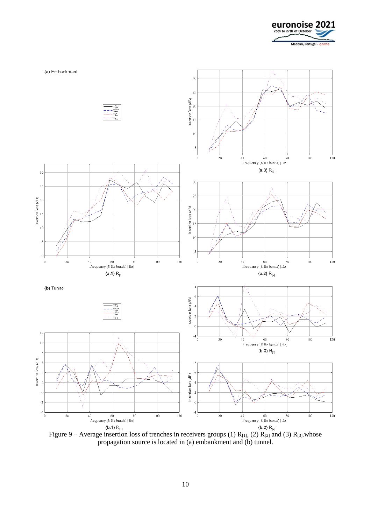